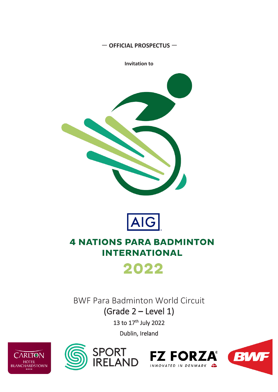#### — **OFFICIAL PROSPECTUS** —

**Invitation to**





# **4 NATIONS PARA BADMINTON INTERNATIONAL**



BWF Para Badminton World Circuit

(Grade 2 **–** Level 1)

13 to 17<sup>th</sup> July 2022

Dublin, Ireland









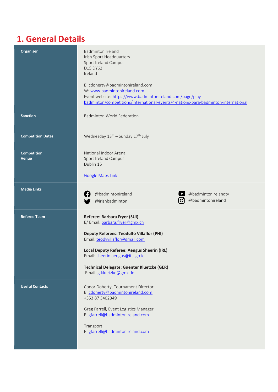#### **1. General Details**

| <b>Organiser</b>                   | <b>Badminton Ireland</b><br>Irish Sport Headquarters<br>Sport Ireland Campus<br>D15 DY62<br>Ireland<br>E: cdoherty@badmintonireland.com<br>W: www.badmintonireland.com<br>Event website: https://www.badmintonireland.com/page/play-<br>badminton/competitions/international-events/4-nations-para-badminton-international      |
|------------------------------------|---------------------------------------------------------------------------------------------------------------------------------------------------------------------------------------------------------------------------------------------------------------------------------------------------------------------------------|
| <b>Sanction</b>                    | <b>Badminton World Federation</b>                                                                                                                                                                                                                                                                                               |
| <b>Competition Dates</b>           | Wednesday 13 <sup>th</sup> - Sunday 17 <sup>th</sup> July                                                                                                                                                                                                                                                                       |
| <b>Competition</b><br><b>Venue</b> | National Indoor Arena<br><b>Sport Ireland Campus</b><br>Dublin 15<br><b>Google Maps Link</b>                                                                                                                                                                                                                                    |
| <b>Media Links</b>                 | @badmintonireland<br>@badmintonirelandtv<br>@badmintonireland<br>IO.<br>@irishbadminton                                                                                                                                                                                                                                         |
| <b>Referee Team</b>                | Referee: Barbara Fryer (SUI)<br>E/ Email: barbara.fryer@gmx.ch<br><b>Deputy Referees: Teodulfo Villaflor (PHI)</b><br>Email: teodyvillaflor@gmail.com<br><b>Local Deputy Referee: Aengus Sheerin (IRL)</b><br>Email: sheerin.aengus@itsligo.ie<br><b>Technical Delegate: Guenter Kluetzke (GER)</b><br>Email: g.kluetzke@gmx.de |
| <b>Useful Contacts</b>             | Conor Doherty, Tournament Director<br>E: cdoherty@badmintonireland.com<br>+353 87 3402349<br>Greg Farrell, Event Logistics Manager<br>E: gfarrell@badmintonireland.com<br>Transport<br>E: gfarrell@badmintonireland.com                                                                                                         |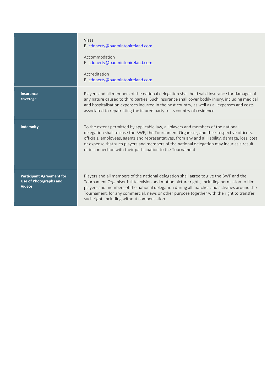|                                                                                    | Visas<br>E: cdoherty@badmintonireland.com                                                                                                                                                                                                                                                                                                                                                                                                         |
|------------------------------------------------------------------------------------|---------------------------------------------------------------------------------------------------------------------------------------------------------------------------------------------------------------------------------------------------------------------------------------------------------------------------------------------------------------------------------------------------------------------------------------------------|
|                                                                                    | Accommodation<br>E: cdoherty@badmintonireland.com                                                                                                                                                                                                                                                                                                                                                                                                 |
|                                                                                    | Accreditation<br>E: cdoherty@badmintonireland.com                                                                                                                                                                                                                                                                                                                                                                                                 |
| <b>Insurance</b><br>coverage                                                       | Players and all members of the national delegation shall hold valid insurance for damages of<br>any nature caused to third parties. Such insurance shall cover bodily injury, including medical<br>and hospitalisation expenses incurred in the host country, as well as all expenses and costs<br>associated to repatriating the injured party to its country of residence.                                                                      |
| <b>Indemnity</b>                                                                   | To the extent permitted by applicable law, all players and members of the national<br>delegation shall release the BWF, the Tournament Organiser, and their respective officers,<br>officials, employees, agents and representatives, from any and all liability, damage, loss, cost<br>or expense that such players and members of the national delegation may incur as a result<br>or in connection with their participation to the Tournament. |
| <b>Participant Agreement for</b><br><b>Use of Photographs and</b><br><b>Videos</b> | Players and all members of the national delegation shall agree to give the BWF and the<br>Tournament Organiser full television and motion picture rights, including permission to film<br>players and members of the national delegation during all matches and activities around the<br>Tournament, for any commercial, news or other purpose together with the right to transfer<br>such right, including without compensation.                 |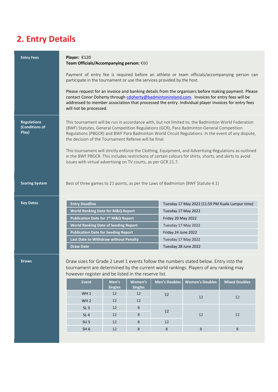# **2. Entry Details**

| <b>Entry Fees</b>                                                                                                                                                                                                                            | Player: €120<br>Team Officials/Accompanying person: €60                                                                                                                                                                                                                                                                                  |                         |                           |                      |                                                                                                                                                                                                 |                                                                                                        |
|----------------------------------------------------------------------------------------------------------------------------------------------------------------------------------------------------------------------------------------------|------------------------------------------------------------------------------------------------------------------------------------------------------------------------------------------------------------------------------------------------------------------------------------------------------------------------------------------|-------------------------|---------------------------|----------------------|-------------------------------------------------------------------------------------------------------------------------------------------------------------------------------------------------|--------------------------------------------------------------------------------------------------------|
|                                                                                                                                                                                                                                              | Payment of entry fee is required before an athlete or team officials/accompanying person can<br>participate in the tournament or use the services provided by the host.                                                                                                                                                                  |                         |                           |                      |                                                                                                                                                                                                 |                                                                                                        |
|                                                                                                                                                                                                                                              | Please request for an invoice and banking details from the organisers before making payment. Please<br>contact Conor Doherty through cdoherty@badmintonireland.com. Invoices for entry fees will be<br>addressed to member association that processed the entry. Individual player invoices for entry fees<br>will not be processed.     |                         |                           |                      |                                                                                                                                                                                                 |                                                                                                        |
| <b>Regulations</b><br>(Conditions of<br>Play)                                                                                                                                                                                                | Regulations (PBGCR) and BWF Para Badminton World Circuit Regulations. In the event of any dispute,<br>the decision of the Tournament Referee will be final.<br>in the BWF PBGCR. This includes restrictions of certain colours for shirts, shorts, and skirts to avoid<br>issues with virtual advertising on TV courts, as per GCR 21.7. |                         |                           |                      | This tournament will be run in accordance with, but not limited to, the Badminton World Federation<br>(BWF) Statutes, General Competition Regulations (GCR), Para Badminton General Competition | This tournament will strictly enforce the Clothing, Equipment, and Advertising Regulations as outlined |
| <b>Scoring System</b>                                                                                                                                                                                                                        |                                                                                                                                                                                                                                                                                                                                          |                         |                           |                      | Best of three games to 21 points, as per the Laws of Badminton (BWF Statute 4.1)                                                                                                                |                                                                                                        |
| <b>Key Dates</b>                                                                                                                                                                                                                             | <b>Entry Deadline</b>                                                                                                                                                                                                                                                                                                                    |                         |                           |                      | Tuesday 17 May 2022 (11:59 PM Kuala Lumpur time)                                                                                                                                                |                                                                                                        |
|                                                                                                                                                                                                                                              | <b>World Ranking Date for M&amp;Q Report</b>                                                                                                                                                                                                                                                                                             |                         |                           | Tuesday 17 May 2022  |                                                                                                                                                                                                 |                                                                                                        |
|                                                                                                                                                                                                                                              | <b>Publication Date for 1st M&amp;Q Report</b>                                                                                                                                                                                                                                                                                           |                         |                           | Friday 20 May 2022   |                                                                                                                                                                                                 |                                                                                                        |
|                                                                                                                                                                                                                                              | <b>World Ranking Date of Seeding Report</b>                                                                                                                                                                                                                                                                                              |                         |                           | Tuesday 17 May 2022  |                                                                                                                                                                                                 |                                                                                                        |
|                                                                                                                                                                                                                                              | <b>Publication Date for Seeding Report</b>                                                                                                                                                                                                                                                                                               |                         |                           | Friday 24 June 2022  |                                                                                                                                                                                                 |                                                                                                        |
|                                                                                                                                                                                                                                              | Last Date to Withdraw without Penalty                                                                                                                                                                                                                                                                                                    |                         |                           | Tuesday 17 May 2022  |                                                                                                                                                                                                 |                                                                                                        |
|                                                                                                                                                                                                                                              | <b>Draw Date</b>                                                                                                                                                                                                                                                                                                                         |                         |                           | Tuesday 28 June 2022 |                                                                                                                                                                                                 |                                                                                                        |
| Draw sizes for Grade 2 Level 1 events follow the numbers stated below. Entry into the<br>Draws<br>tournament are determined by the current world rankings. Players of any ranking may<br>however register and be listed in the reserve list. |                                                                                                                                                                                                                                                                                                                                          |                         |                           |                      |                                                                                                                                                                                                 |                                                                                                        |
|                                                                                                                                                                                                                                              | Event                                                                                                                                                                                                                                                                                                                                    | Men's<br><b>Singles</b> | Women's<br><b>Singles</b> | <b>Men's Doubles</b> | <b>Women's Doubles</b>                                                                                                                                                                          | <b>Mixed Doubles</b>                                                                                   |
|                                                                                                                                                                                                                                              | WH 1                                                                                                                                                                                                                                                                                                                                     | 12                      | 12                        | 12                   |                                                                                                                                                                                                 |                                                                                                        |
|                                                                                                                                                                                                                                              | WH <sub>2</sub>                                                                                                                                                                                                                                                                                                                          | 12                      | 12                        |                      | 12                                                                                                                                                                                              | 12                                                                                                     |
|                                                                                                                                                                                                                                              | SL <sub>3</sub>                                                                                                                                                                                                                                                                                                                          | 12                      | 8                         |                      |                                                                                                                                                                                                 |                                                                                                        |
|                                                                                                                                                                                                                                              | SL <sub>4</sub>                                                                                                                                                                                                                                                                                                                          | 12                      | 8                         | 12                   | 12                                                                                                                                                                                              | 12                                                                                                     |
|                                                                                                                                                                                                                                              | SU <sub>5</sub>                                                                                                                                                                                                                                                                                                                          | 12                      | 8                         | 12                   |                                                                                                                                                                                                 |                                                                                                        |
|                                                                                                                                                                                                                                              | SH <sub>6</sub>                                                                                                                                                                                                                                                                                                                          | 12                      | 8                         | $\,8\,$              | $\,8\,$                                                                                                                                                                                         | $\,8\,$                                                                                                |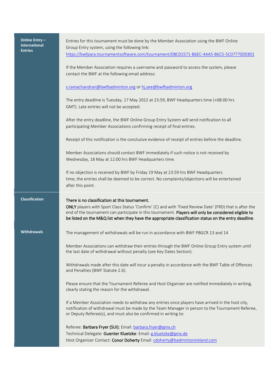| Online Entry -<br><b>International</b><br><b>Entries</b> | Entries for this tournament must be done by the Member Association using the BWF Online<br>Group Entry system, using the following link:<br>https://bwfpara.tournamentsoftware.com/tournament/0BC01571-B6EC-4AA5-B6C5-5C07770DE801                                                                                                                                          |
|----------------------------------------------------------|-----------------------------------------------------------------------------------------------------------------------------------------------------------------------------------------------------------------------------------------------------------------------------------------------------------------------------------------------------------------------------|
|                                                          | If the Member Association requires a username and password to access the system, please<br>contact the BWF at the following email address:                                                                                                                                                                                                                                  |
|                                                          | s.ramachandran@bwfbadminton.org or hj.yee@bwfbadminton.org                                                                                                                                                                                                                                                                                                                  |
|                                                          | The entry deadline is Tuesday, 17 May 2022 at 23:59, BWF Headquarters time (+08:00 hrs<br>GMT). Late entries will not be accepted.                                                                                                                                                                                                                                          |
|                                                          | After the entry deadline, the BWF Online Group Entry System will send notification to all<br>participating Member Associations confirming receipt of final entries.                                                                                                                                                                                                         |
|                                                          | Receipt of this notification is the conclusive evidence of receipt of entries before the deadline.                                                                                                                                                                                                                                                                          |
|                                                          | Member Associations should contact BWF immediately if such notice is not received by<br>Wednesday, 18 May at 12:00 hrs BWF Headquarters time.                                                                                                                                                                                                                               |
|                                                          | If no objection is received by BWF by Friday 19 May at 23:59 hrs BWF Headquarters<br>time, the entries shall be deemed to be correct. No complaints/objections will be entertained<br>after this point.                                                                                                                                                                     |
|                                                          |                                                                                                                                                                                                                                                                                                                                                                             |
| <b>Classification</b>                                    | There is no classification at this tournament.<br>ONLY players with Sport Class Status 'Confirm' (C) and with 'Fixed Review Date' (FRD) that is after the<br>end of the tournament can participate in this tournament. Players will only be considered eligible to<br>be listed on the M&Q list when they have the appropriate classification status on the entry deadline. |
| <b>Withdrawals</b>                                       | The management of withdrawals will be run in accordance with BWF PBGCR 13 and 14                                                                                                                                                                                                                                                                                            |
|                                                          | Member Associations can withdraw their entries through the BWF Online Group Entry system until<br>the last date of withdrawal without penalty (see Key Dates Section).                                                                                                                                                                                                      |
|                                                          | Withdrawals made after this date will incur a penalty in accordance with the BWF Table of Offences<br>and Penalties (BWF Statute 2.6).                                                                                                                                                                                                                                      |
|                                                          | Please ensure that the Tournament Referee and Host Organiser are notified immediately in writing,<br>clearly stating the reason for the withdrawal.                                                                                                                                                                                                                         |
|                                                          | If a Member Association needs to withdraw any entries once players have arrived in the host city,<br>notification of withdrawal must be made by the Team Manager in person to the Tournament Referee,<br>or Deputy Referee(s), and must also be confirmed in writing to:                                                                                                    |
|                                                          | Referee: Barbara Fryer (SUI); Email: barbara.fryer@gmx.ch<br>Technical Delegate: Guenter Kluetzke: Email: g.kluetzke@gmx.de                                                                                                                                                                                                                                                 |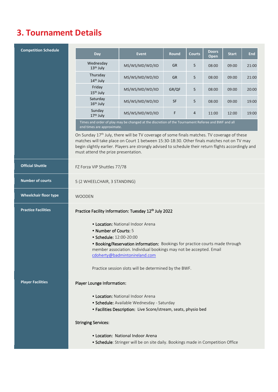# **3. Tournament Details**

| <b>Competition Schedule</b>  | Day                                                                                                                                                                                                                                                                                                                                                   | <b>Event</b>                                                                                       | <b>Round</b> | <b>Courts</b> | <b>Doors</b><br>Open | <b>Start</b> | <b>End</b> |  |
|------------------------------|-------------------------------------------------------------------------------------------------------------------------------------------------------------------------------------------------------------------------------------------------------------------------------------------------------------------------------------------------------|----------------------------------------------------------------------------------------------------|--------------|---------------|----------------------|--------------|------------|--|
|                              | Wednesday<br>13th July                                                                                                                                                                                                                                                                                                                                | MS/WS/MD/WD/XD                                                                                     | <b>GR</b>    | 5             | 08:00                | 09:00        | 21:00      |  |
|                              | Thursday<br>14th July                                                                                                                                                                                                                                                                                                                                 | MS/WS/MD/WD/XD                                                                                     | <b>GR</b>    | 5             | 08:00                | 09:00        | 21:00      |  |
|                              | Friday<br>15 <sup>th</sup> July                                                                                                                                                                                                                                                                                                                       | MS/WS/MD/WD/XD                                                                                     | GR/QF        | 5             | 08:00                | 09:00        | 20:00      |  |
|                              | Saturday<br>16 <sup>th</sup> July                                                                                                                                                                                                                                                                                                                     | MS/WS/MD/WD/XD                                                                                     | <b>SF</b>    | 5             | 08:00                | 09:00        | 19:00      |  |
|                              | Sunday<br>17th July                                                                                                                                                                                                                                                                                                                                   | MS/WS/MD/WD/XD                                                                                     | F            | 4             | 11:00                | 12:00        | 19:00      |  |
|                              | end times are approximate.                                                                                                                                                                                                                                                                                                                            | Times and order of play may be changed at the discretion of the Tournament Referee and BWF and all |              |               |                      |              |            |  |
|                              | On Sunday 17 <sup>th</sup> July, there will be TV coverage of some finals matches. TV coverage of these<br>matches will take place on Court 1 between 15:30-18:30. Other finals matches not on TV may<br>begin slightly earlier. Players are strongly advised to schedule their return flights accordingly and<br>must attend the prize presentation. |                                                                                                    |              |               |                      |              |            |  |
| <b>Official Shuttle</b>      | FZ Forza VIP Shuttles 77/78                                                                                                                                                                                                                                                                                                                           |                                                                                                    |              |               |                      |              |            |  |
| <b>Number of courts</b>      | 5 (2 WHEELCHAIR, 3 STANDING)                                                                                                                                                                                                                                                                                                                          |                                                                                                    |              |               |                      |              |            |  |
| <b>Wheelchair floor type</b> | <b>WOODEN</b>                                                                                                                                                                                                                                                                                                                                         |                                                                                                    |              |               |                      |              |            |  |
| <b>Practice Facilities</b>   | Practice Facility Information: Tuesday 12th July 2022                                                                                                                                                                                                                                                                                                 |                                                                                                    |              |               |                      |              |            |  |
|                              | <b>• Location: National Indoor Arena</b><br>• Number of Courts: 5<br>· Schedule: 12:00-20:00<br>. Booking/Reservation information: Bookings for practice courts made through<br>member association. Individual bookings may not be accepted. Email<br>cdoherty@badmintonireland.com<br>Practice session slots will be determined by the BWF.          |                                                                                                    |              |               |                      |              |            |  |
| <b>Player Facilities</b>     | Player Lounge Information:                                                                                                                                                                                                                                                                                                                            |                                                                                                    |              |               |                      |              |            |  |
|                              | • Location: National Indoor Arena<br>· Schedule: Available Wednesday - Saturday<br>• Facilities Description: Live Score/stream, seats, physio bed                                                                                                                                                                                                     |                                                                                                    |              |               |                      |              |            |  |
|                              | <b>Stringing Services:</b>                                                                                                                                                                                                                                                                                                                            |                                                                                                    |              |               |                      |              |            |  |
|                              | • Location: National Indoor Arena<br>• Schedule: Stringer will be on site daily. Bookings made in Competition Office                                                                                                                                                                                                                                  |                                                                                                    |              |               |                      |              |            |  |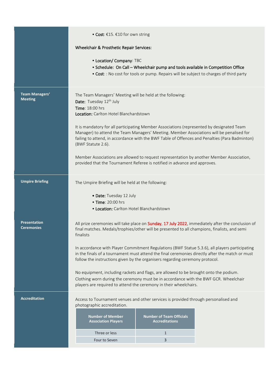|                                         | • Cost: €15. €10 for own string                                                                                                                                                                                                                                                                                                                                                                                                                                                                                                                                                                                                                         |  |  |  |  |  |
|-----------------------------------------|---------------------------------------------------------------------------------------------------------------------------------------------------------------------------------------------------------------------------------------------------------------------------------------------------------------------------------------------------------------------------------------------------------------------------------------------------------------------------------------------------------------------------------------------------------------------------------------------------------------------------------------------------------|--|--|--|--|--|
|                                         | Wheelchair & Prosthetic Repair Services:                                                                                                                                                                                                                                                                                                                                                                                                                                                                                                                                                                                                                |  |  |  |  |  |
|                                         | • Location/ Company: TBC<br>• Schedule: On Call - Wheelchair pump and tools available in Competition Office<br>• Cost: : No cost for tools or pump. Repairs will be subject to charges of third party                                                                                                                                                                                                                                                                                                                                                                                                                                                   |  |  |  |  |  |
| <b>Team Managers'</b><br><b>Meeting</b> | The Team Managers' Meeting will be held at the following:<br>Date: Tuesday 12 <sup>th</sup> July<br>Time: 18:00 hrs<br>Location: Carlton Hotel Blanchardstown<br>It is mandatory for all participating Member Associations (represented by designated Team<br>Manager) to attend the Team Managers' Meeting. Member Associations will be penalised for<br>failing to attend, in accordance with the BWF Table of Offences and Penalties (Para Badminton)<br>(BWF Statute 2.6).<br>Member Associations are allowed to request representation by another Member Association,<br>provided that the Tournament Referee is notified in advance and approves. |  |  |  |  |  |
|                                         |                                                                                                                                                                                                                                                                                                                                                                                                                                                                                                                                                                                                                                                         |  |  |  |  |  |
| <b>Umpire Briefing</b>                  | The Umpire Briefing will be held at the following:<br>• Date: Tuesday 12 July<br>• Time: 20:00 hrs<br>• Location: Carlton Hotel Blanchardstown                                                                                                                                                                                                                                                                                                                                                                                                                                                                                                          |  |  |  |  |  |
| <b>Presentation</b>                     |                                                                                                                                                                                                                                                                                                                                                                                                                                                                                                                                                                                                                                                         |  |  |  |  |  |
| <b>Ceremonies</b>                       | All prize ceremonies will take place on Sunday, 17 July 2022, immediately after the conclusion of<br>final matches. Medals/trophies/other will be presented to all champions, finalists, and semi<br>finalists<br>In accordance with Player Commitment Regulations (BWF Statue 5.3.6), all players participating<br>in the finals of a tournament must attend the final ceremonies directly after the match or must<br>follow the instructions given by the organisers regarding ceremony protocol.<br>No equipment, including rackets and flags, are allowed to be brought onto the podium.                                                            |  |  |  |  |  |
|                                         | Clothing worn during the ceremony must be in accordance with the BWF GCR. Wheelchair<br>players are required to attend the ceremony in their wheelchairs.                                                                                                                                                                                                                                                                                                                                                                                                                                                                                               |  |  |  |  |  |
| <b>Accreditation</b>                    | Access to Tournament venues and other services is provided through personalised and<br>photographic accreditation.<br><b>Number of Member</b><br><b>Number of Team Officials</b><br><b>Accreditations</b><br><b>Association Players</b>                                                                                                                                                                                                                                                                                                                                                                                                                 |  |  |  |  |  |
|                                         | Three or less<br>$\mathbf{1}$                                                                                                                                                                                                                                                                                                                                                                                                                                                                                                                                                                                                                           |  |  |  |  |  |
|                                         | Four to Seven<br>3                                                                                                                                                                                                                                                                                                                                                                                                                                                                                                                                                                                                                                      |  |  |  |  |  |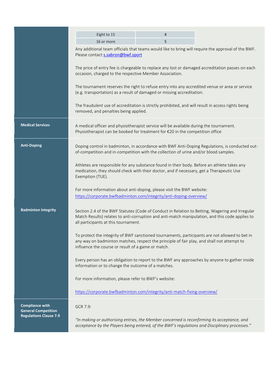|                                                      | Eight to 15                                                                                                                                                                                                                                                                                                                                                | 4 |  |  |  |  |  |
|------------------------------------------------------|------------------------------------------------------------------------------------------------------------------------------------------------------------------------------------------------------------------------------------------------------------------------------------------------------------------------------------------------------------|---|--|--|--|--|--|
|                                                      | 16 or more                                                                                                                                                                                                                                                                                                                                                 | 5 |  |  |  |  |  |
|                                                      | Any additional team officials that teams would like to bring will require the approval of the BWF.<br>Please contact s.sabron@bwf.sport                                                                                                                                                                                                                    |   |  |  |  |  |  |
|                                                      | The price of entry fee is chargeable to replace any lost or damaged accreditation passes on each<br>occasion, charged to the respective Member Association.                                                                                                                                                                                                |   |  |  |  |  |  |
|                                                      | The tournament reserves the right to refuse entry into any accredited venue or area or service<br>(e.g. transportation) as a result of damaged or missing accreditation.                                                                                                                                                                                   |   |  |  |  |  |  |
|                                                      | The fraudulent use of accreditation is strictly prohibited, and will result in access rights being<br>removed, and penalties being applied.                                                                                                                                                                                                                |   |  |  |  |  |  |
| <b>Medical Services</b>                              | A medical officer and physiotherapist service will be available during the tournament.<br>Physiotherapist can be booked for treatment for €20 in the competition office                                                                                                                                                                                    |   |  |  |  |  |  |
| <b>Anti-Doping</b>                                   | Doping control in badminton, in accordance with BWF Anti-Doping Regulations, is conducted out-<br>of-competition and in-competition with the collection of urine and/or blood samples.                                                                                                                                                                     |   |  |  |  |  |  |
|                                                      | Athletes are responsible for any substance found in their body. Before an athlete takes any<br>medication, they should check with their doctor, and if necessary, get a Therapeutic Use<br>Exemption (TUE).<br>For more information about anti-doping, please visit the BWF website:<br>https://corporate.bwfbadminton.com/integrity/anti-doping-overview/ |   |  |  |  |  |  |
|                                                      |                                                                                                                                                                                                                                                                                                                                                            |   |  |  |  |  |  |
| <b>Badminton Integrity</b>                           | Section 2.4 of the BWF Statutes (Code of Conduct in Relation to Betting, Wagering and Irregular<br>Match Results) relates to anti-corruption and anti-match manipulation, and this code applies to<br>all participants at this tournament.                                                                                                                 |   |  |  |  |  |  |
|                                                      | To protect the integrity of BWF sanctioned tournaments, participants are not allowed to bet in<br>any way on badminton matches, respect the principle of fair play, and shall not attempt to<br>influence the course or result of a game or match.                                                                                                         |   |  |  |  |  |  |
|                                                      | Every person has an obligation to report to the BWF any approaches by anyone to gather inside<br>information or to change the outcome of a matches.                                                                                                                                                                                                        |   |  |  |  |  |  |
|                                                      | For more information, please refer to BWF's website:                                                                                                                                                                                                                                                                                                       |   |  |  |  |  |  |
|                                                      | https://corporate.bwfbadminton.com/integrity/anti-match-fixing-overview/                                                                                                                                                                                                                                                                                   |   |  |  |  |  |  |
| <b>Compliance with</b><br><b>General Competition</b> | GCR 7.9:                                                                                                                                                                                                                                                                                                                                                   |   |  |  |  |  |  |
| <b>Regulations Clause 7.9</b>                        | "In making or authorising entries, the Member concerned is reconfirming its acceptance, and<br>acceptance by the Players being entered, of the BWF's regulations and Disciplinary processes."                                                                                                                                                              |   |  |  |  |  |  |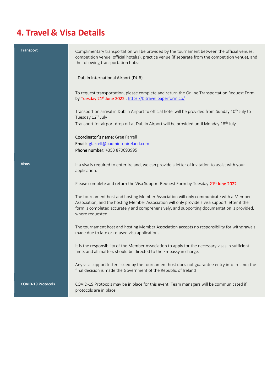# **4. Travel & Visa Details**

| <b>Transport</b>          | Complimentary transportation will be provided by the tournament between the official venues:<br>competition venue, official hotel(s), practice venue (if separate from the competition venue), and<br>the following transportation hubs:                                                                    |  |  |  |
|---------------------------|-------------------------------------------------------------------------------------------------------------------------------------------------------------------------------------------------------------------------------------------------------------------------------------------------------------|--|--|--|
|                           | - Dublin International Airport (DUB)                                                                                                                                                                                                                                                                        |  |  |  |
|                           | To request transportation, please complete and return the Online Transportation Request Form<br>by Tuesday 21st June 2022 : https://bitravel.paperform.co/                                                                                                                                                  |  |  |  |
|                           | Transport on arrival in Dublin Airport to official hotel will be provided from Sunday 10 <sup>th</sup> July to<br>Tuesday 12 <sup>th</sup> July<br>Transport for airport drop off at Dublin Airport will be provided until Monday 18 <sup>th</sup> July                                                     |  |  |  |
|                           | Coordinator's name: Greg Farrell<br>Email: gfarrell@badmintonireland.com<br>Phone number: +353 870693995                                                                                                                                                                                                    |  |  |  |
| <b>Visas</b>              | If a visa is required to enter Ireland, we can provide a letter of invitation to assist with your<br>application.                                                                                                                                                                                           |  |  |  |
|                           | Please complete and return the Visa Support Request Form by Tuesday 21 <sup>st</sup> June 2022                                                                                                                                                                                                              |  |  |  |
|                           | The tournament host and hosting Member Association will only communicate with a Member<br>Association, and the hosting Member Association will only provide a visa support letter if the<br>form is completed accurately and comprehensively, and supporting documentation is provided,<br>where requested. |  |  |  |
|                           | The tournament host and hosting Member Association accepts no responsibility for withdrawals<br>made due to late or refused visa applications.                                                                                                                                                              |  |  |  |
|                           | It is the responsibility of the Member Association to apply for the necessary visas in sufficient<br>time, and all matters should be directed to the Embassy in charge.                                                                                                                                     |  |  |  |
|                           | Any visa support letter issued by the tournament host does not guarantee entry into Ireland; the<br>final decision is made the Government of the Republic of Ireland                                                                                                                                        |  |  |  |
| <b>COVID-19 Protocols</b> | COVID-19 Protocols may be in place for this event. Team managers will be communicated if<br>protocols are in place.                                                                                                                                                                                         |  |  |  |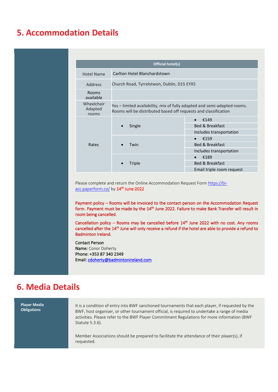#### **5. Accommodation Details**

| Official hotel(s)              |                                                                                                                                             |                                 |  |  |
|--------------------------------|---------------------------------------------------------------------------------------------------------------------------------------------|---------------------------------|--|--|
| <b>Hotel Name</b>              | Carlton Hotel Blanchardstown                                                                                                                |                                 |  |  |
| Address                        | Church Road, Tyrrelstwon, Dublin, D15 EYX5                                                                                                  |                                 |  |  |
| <b>Rooms</b><br>available      |                                                                                                                                             |                                 |  |  |
| Wheelchair<br>Adapted<br>rooms | Yes – limited availability, mix of fully adapted and semi-adapted rooms.<br>Rooms will be distributed based off requests and classification |                                 |  |  |
|                                |                                                                                                                                             | €149                            |  |  |
|                                | Single                                                                                                                                      | <b>Bed &amp; Breakfast</b>      |  |  |
|                                |                                                                                                                                             | Includes transportation<br>€159 |  |  |
| Rates                          | Twin                                                                                                                                        | <b>Bed &amp; Breakfast</b>      |  |  |
|                                |                                                                                                                                             | Includes transportation         |  |  |
|                                | Triple                                                                                                                                      | €189                            |  |  |
|                                |                                                                                                                                             | <b>Bed &amp; Breakfast</b>      |  |  |
|                                |                                                                                                                                             | Email triple room request       |  |  |

Please complete and return the Online Accommodation Request For[m https://bi](https://bi-acc.paperform.co/)<u>[acc.paperform.co/](https://bi-acc.paperform.co/)</u> by  $14^{\text{th}}$  June 2022

Payment policy – Rooms will be invoiced to the contact person on the Accommodation Request form. Payment must be made by the 14<sup>th</sup> June 2022. Failure to make Bank Transfer will result in room being cancelled.

Cancellation policy  $-$  Rooms may be cancelled before  $14<sup>th</sup>$  June 2022 with no cost. Any rooms cancelled after the 14<sup>th</sup> June will only receive a refund if the hotel are able to provide a refund to Badminton Ireland.

Contact Person

Name: Conor Doherty Phone: +353 87 340 2349 Email: [cdoherty@badmintonireland.com](mailto:cdoherty@badmintonireland.com) 

#### **6. Media Details**

**Player Media Obligations** It is a condition of entry into BWF sanctioned tournaments that each player, if requested by the BWF, host organiser, or other tournament official, is required to undertake a range of media activities. Please refer to the BWF Player Commitment Regulations for more information (BWF Statute 5.3.6). Member Associations should be prepared to facilitate the attendance of their player(s), if requested.